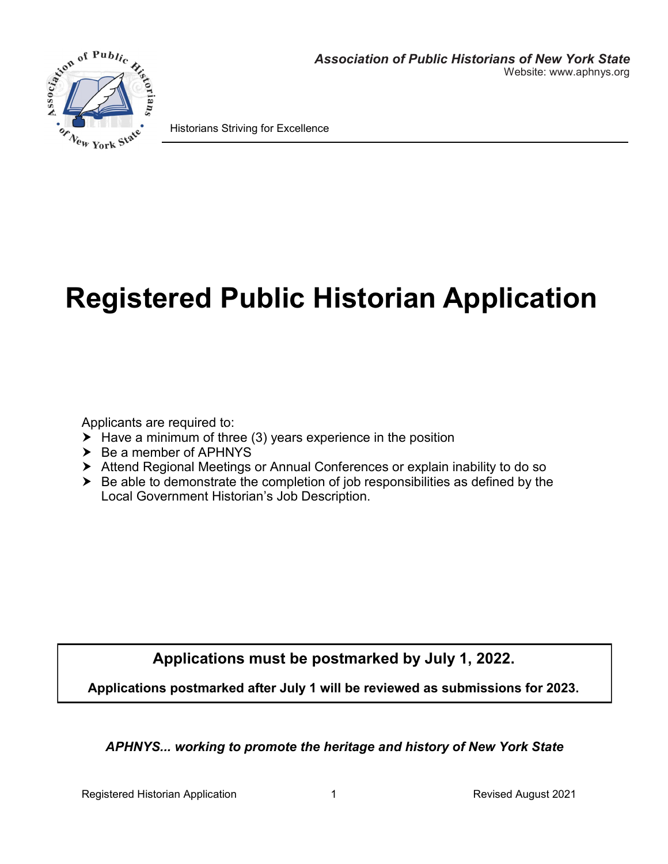

Historians Striving for Excellence

# **Registered Public Historian Application**

Applicants are required to:

- $\blacktriangleright$  Have a minimum of three (3) years experience in the position
- $\triangleright$  Be a member of APHNYS
- Attend Regional Meetings or Annual Conferences or explain inability to do so
- $\triangleright$  Be able to demonstrate the completion of job responsibilities as defined by the Local Government Historian's Job Description.

**Applications must be postmarked by July 1, 2022.**

**Applications postmarked after July 1 will be reviewed as submissions for 2023.**

*APHNYS... working to promote the heritage and history of New York State*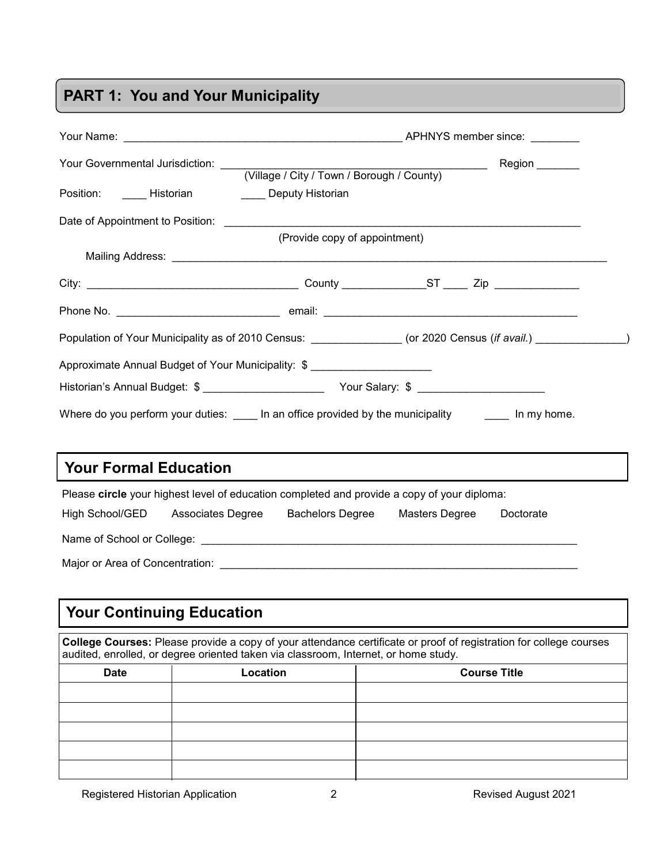# **PART 1: You and Your Municipality**

|                                                                                                                                                                                                           | Position: _______ Historian ___________ Deputy Historian                                    |                                                                                                                |
|-----------------------------------------------------------------------------------------------------------------------------------------------------------------------------------------------------------|---------------------------------------------------------------------------------------------|----------------------------------------------------------------------------------------------------------------|
|                                                                                                                                                                                                           |                                                                                             |                                                                                                                |
|                                                                                                                                                                                                           | (Provide copy of appointment)                                                               |                                                                                                                |
|                                                                                                                                                                                                           |                                                                                             |                                                                                                                |
|                                                                                                                                                                                                           |                                                                                             |                                                                                                                |
|                                                                                                                                                                                                           |                                                                                             |                                                                                                                |
|                                                                                                                                                                                                           |                                                                                             | Population of Your Municipality as of 2010 Census: ______________ (or 2020 Census (if avail.) _______________) |
|                                                                                                                                                                                                           | Approximate Annual Budget of Your Municipality: \$ _______________________                  |                                                                                                                |
|                                                                                                                                                                                                           |                                                                                             |                                                                                                                |
|                                                                                                                                                                                                           |                                                                                             |                                                                                                                |
|                                                                                                                                                                                                           |                                                                                             | Where do you perform your duties: _____ In an office provided by the municipality _______ In my home.          |
|                                                                                                                                                                                                           |                                                                                             |                                                                                                                |
| <b>Your Formal Education</b>                                                                                                                                                                              |                                                                                             |                                                                                                                |
|                                                                                                                                                                                                           | Please circle your highest level of education completed and provide a copy of your diploma: |                                                                                                                |
|                                                                                                                                                                                                           | High School/GED Associates Degree                                                           | Bachelors Degree Masters Degree<br>Doctorate                                                                   |
|                                                                                                                                                                                                           |                                                                                             |                                                                                                                |
|                                                                                                                                                                                                           |                                                                                             |                                                                                                                |
|                                                                                                                                                                                                           |                                                                                             |                                                                                                                |
| <b>Your Continuing Education</b>                                                                                                                                                                          |                                                                                             |                                                                                                                |
| College Courses: Please provide a copy of your attendance certificate or proof of registration for college courses<br>audited, enrolled, or degree oriented taken via classroom, Internet, or home study. |                                                                                             |                                                                                                                |
| <b>Date</b>                                                                                                                                                                                               | Location                                                                                    | <b>Course Title</b>                                                                                            |
|                                                                                                                                                                                                           |                                                                                             |                                                                                                                |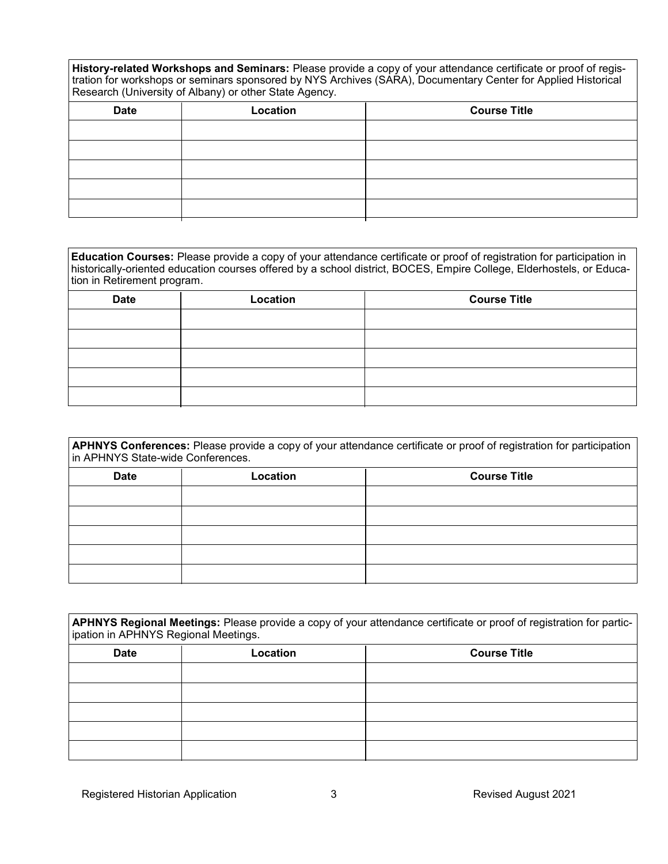**History-related Workshops and Seminars:** Please provide a copy of your attendance certificate or proof of registration for workshops or seminars sponsored by NYS Archives (SARA), Documentary Center for Applied Historical Research (University of Albany) or other State Agency.

| <b>Date</b> | Location | <b>Course Title</b> |
|-------------|----------|---------------------|
|             |          |                     |
|             |          |                     |
|             |          |                     |
|             |          |                     |
|             |          |                     |

| Education Courses: Please provide a copy of your attendance certificate or proof of registration for participation in |
|-----------------------------------------------------------------------------------------------------------------------|
| historically-oriented education courses offered by a school district, BOCES, Empire College, Elderhostels, or Educa-  |
| tion in Retirement program.                                                                                           |

| <b>Date</b> | Location | <b>Course Title</b> |
|-------------|----------|---------------------|
|             |          |                     |
|             |          |                     |
|             |          |                     |
|             |          |                     |
|             |          |                     |

| APHNYS Conferences: Please provide a copy of your attendance certificate or proof of registration for participation<br>in APHNYS State-wide Conferences. |          |                     |
|----------------------------------------------------------------------------------------------------------------------------------------------------------|----------|---------------------|
| <b>Date</b>                                                                                                                                              | Location | <b>Course Title</b> |
|                                                                                                                                                          |          |                     |
|                                                                                                                                                          |          |                     |
|                                                                                                                                                          |          |                     |
|                                                                                                                                                          |          |                     |
|                                                                                                                                                          |          |                     |

| APHNYS Regional Meetings: Please provide a copy of your attendance certificate or proof of registration for partic-<br>ipation in APHNYS Regional Meetings. |          |                     |  |
|-------------------------------------------------------------------------------------------------------------------------------------------------------------|----------|---------------------|--|
| <b>Date</b>                                                                                                                                                 | Location | <b>Course Title</b> |  |
|                                                                                                                                                             |          |                     |  |
|                                                                                                                                                             |          |                     |  |
|                                                                                                                                                             |          |                     |  |
|                                                                                                                                                             |          |                     |  |
|                                                                                                                                                             |          |                     |  |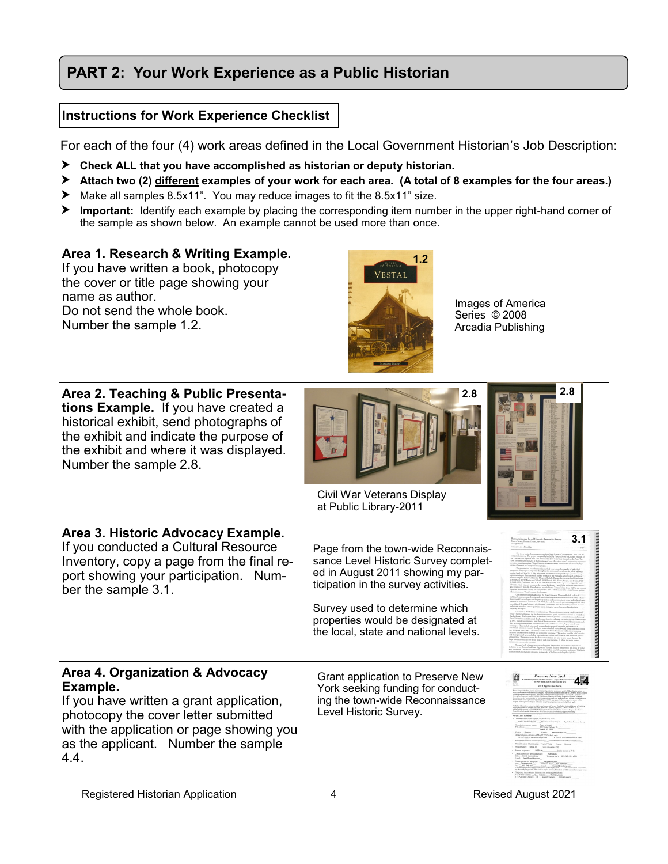# **PART 2: Your Work Experience as a Public Historian**

#### **Instructions for Work Experience Checklist**

For each of the four (4) work areas defined in the Local Government Historian's Job Description:

- **Check ALL that you have accomplished as historian or deputy historian.**
- **Attach two (2) different examples of your work for each area. (A total of 8 examples for the four areas.)**
- Make all samples 8.5x11". You may reduce images to fit the 8.5x11" size.
- **Important:** Identify each example by placing the corresponding item number in the upper right-hand corner of the sample as shown below. An example cannot be used more than once.

#### **Area 1. Research & Writing Example.**

If you have written a book, photocopy the cover or title page showing your name as author. Do not send the whole book. Number the sample 1.2.

**Area 2. Teaching & Public Presentations Example.** If you have created a historical exhibit, send photographs of the exhibit and indicate the purpose of the exhibit and where it was displayed. Number the sample 2.8.



Images of America Series © 2008 Arcadia Publishing



Civil War Veterans Display at Public Library-2011

# **Area 3. Historic Advocacy Example.**

If you conducted a Cultural Resource Inventory, copy a page from the final report showing your participation. Number the sample 3.1.

Page from the town-wide Reconnaissance Level Historic Survey completed in August 2011 showing my participation in the survey activities.

Survey used to determine which properties would be designated at the local, state and national levels.

#### **Area 4. Organization & Advocacy Example.**

If you have written a grant application, photocopy the cover letter submitted with the application or page showing you as the applicant. Number the sample 4.4.

Grant application to Preserve New York seeking funding for conducting the town-wide Reconnaissance Level Historic Survey.



**3.1**

**2.8**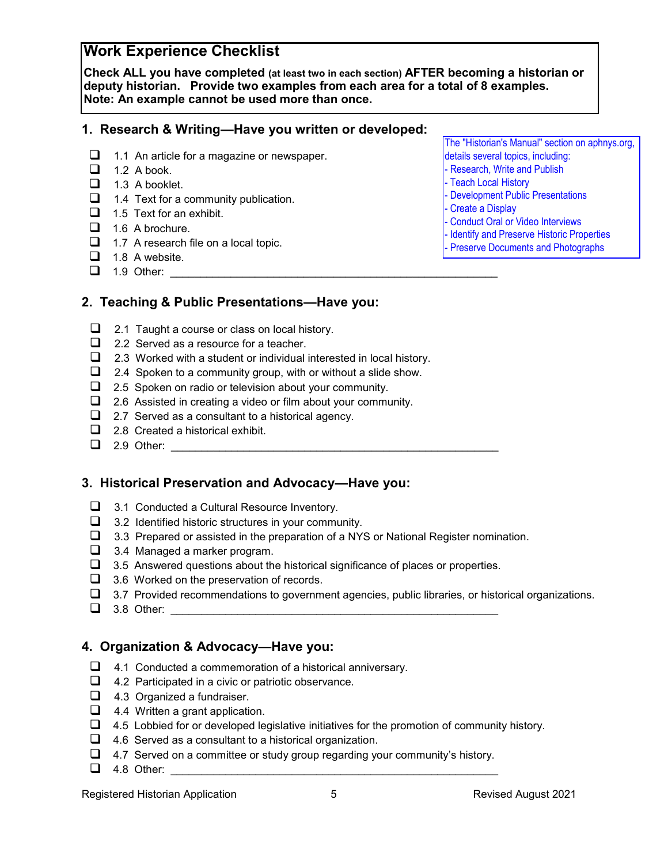## **Work Experience Checklist**

**Check ALL you have completed (at least two in each section) AFTER becoming a historian or deputy historian. Provide two examples from each area for a total of 8 examples. Note: An example cannot be used more than once.**

#### **1. Research & Writing—Have you written or developed:**

- ❑ 1.1 An article for a magazine or newspaper.
- $\Box$  1.2 A book.
- ❑ 1.3 A booklet.
- ❑ 1.4 Text for a community publication.
- ❑ 1.5 Text for an exhibit.
- $\Box$  1.6 A brochure.
- ❑ 1.7 A research file on a local topic.
- $\Box$  1.8 A website.
- $\Box$  1.9 Other:

The "Historian's Manual" section on aphnys.org, details several topics, including:

- Research, Write and Publish
- Teach Local History
- Development Public Presentations
- Create a Display
- Conduct Oral or Video Interviews
- Identify and Preserve Historic Properties
- Preserve Documents and Photographs
- **2. Teaching & Public Presentations—Have you:**
	- ❑ 2.1 Taught a course or class on local history.
	- ❑ 2.2 Served as a resource for a teacher.
	- ❑ 2.3 Worked with a student or individual interested in local history.
	- ❑ 2.4 Spoken to a community group, with or without a slide show.
	- ❑ 2.5 Spoken on radio or television about your community.
	- ❑ 2.6 Assisted in creating a video or film about your community.
	- ❑ 2.7 Served as a consultant to a historical agency.
	- ❑ 2.8 Created a historical exhibit.
	- $\Box$  2.9 Other:

#### **3. Historical Preservation and Advocacy—Have you:**

- ❑ 3.1 Conducted a Cultural Resource Inventory.
- ❑ 3.2 Identified historic structures in your community.
- ❑ 3.3 Prepared or assisted in the preparation of a NYS or National Register nomination.
- ❑ 3.4 Managed a marker program.
- $\Box$  3.5 Answered questions about the historical significance of places or properties.
- ❑ 3.6 Worked on the preservation of records.
- $\Box$  3.7 Provided recommendations to government agencies, public libraries, or historical organizations.
- $\Box$  3.8 Other:

#### **4. Organization & Advocacy—Have you:**

- ❑ 4.1 Conducted a commemoration of a historical anniversary.
- ❑ 4.2 Participated in a civic or patriotic observance.
- ❑ 4.3 Organized a fundraiser.
- ❑ 4.4 Written a grant application.
- $\Box$  4.5 Lobbied for or developed legislative initiatives for the promotion of community history.
- ❑ 4.6 Served as a consultant to a historical organization.
- ❑ 4.7 Served on a committee or study group regarding your community's history.
- $\Box$  4.8 Other: